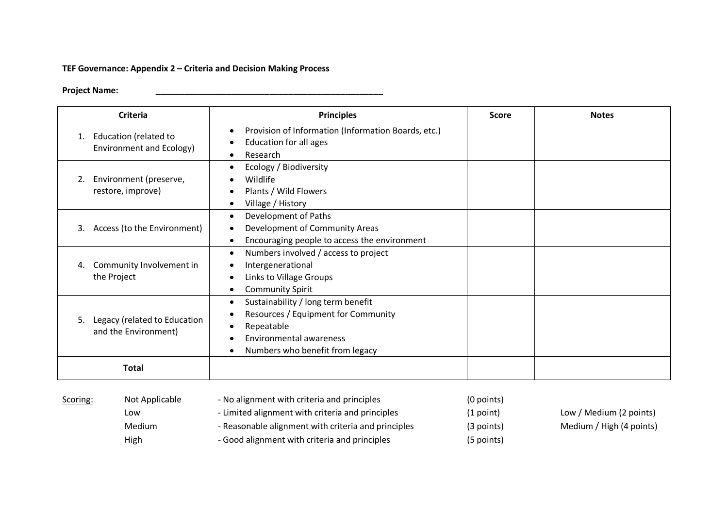## **TEF Governance: Appendix 2 – Criteria and Decision Making Process**

## **Project Name: \_\_\_\_\_\_\_\_\_\_\_\_\_\_\_\_\_\_\_\_\_\_\_\_\_\_\_\_\_\_\_\_\_\_\_\_\_\_\_\_\_\_\_\_\_\_\_\_**

| <b>Criteria</b>                                            | <b>Principles</b>                                                                                                                                                         | <b>Score</b> | <b>Notes</b> |
|------------------------------------------------------------|---------------------------------------------------------------------------------------------------------------------------------------------------------------------------|--------------|--------------|
| Education (related to<br>1.<br>Environment and Ecology)    | Provision of Information (Information Boards, etc.)<br>Education for all ages<br>Research                                                                                 |              |              |
| Environment (preserve,<br>2.<br>restore, improve)          | Ecology / Biodiversity<br>Wildlife<br>Plants / Wild Flowers<br>Village / History                                                                                          |              |              |
| Access (to the Environment)<br>3.                          | Development of Paths<br>Development of Community Areas<br>Encouraging people to access the environment                                                                    |              |              |
| Community Involvement in<br>4.<br>the Project              | Numbers involved / access to project<br>$\bullet$<br>Intergenerational<br>Links to Village Groups<br><b>Community Spirit</b>                                              |              |              |
| Legacy (related to Education<br>5.<br>and the Environment) | Sustainability / long term benefit<br>$\bullet$<br>Resources / Equipment for Community<br>Repeatable<br><b>Environmental awareness</b><br>Numbers who benefit from legacy |              |              |
| <b>Total</b>                                               |                                                                                                                                                                           |              |              |

| Scoring:<br>Not Applicable<br>LOW<br>Medium<br>High | - No alignment with criteria and principles         | $(0$ points) |                          |
|-----------------------------------------------------|-----------------------------------------------------|--------------|--------------------------|
|                                                     | - Limited alignment with criteria and principles    | (1 point)    | Low / Medium (2 points)  |
|                                                     | - Reasonable alignment with criteria and principles | $(3$ points) | Medium / High (4 points) |
|                                                     | - Good alignment with criteria and principles       | (5 points)   |                          |